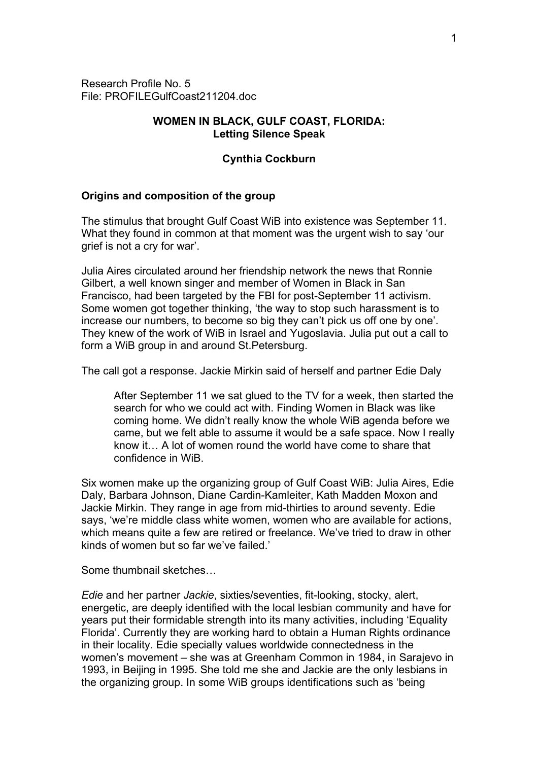Research Profile No. 5 File: PROFILEGulfCoast211204.doc

# **WOMEN IN BLACK, GULF COAST, FLORIDA: Letting Silence Speak**

## **Cynthia Cockburn**

# **Origins and composition of the group**

The stimulus that brought Gulf Coast WiB into existence was September 11. What they found in common at that moment was the urgent wish to say 'our grief is not a cry for war'.

Julia Aires circulated around her friendship network the news that Ronnie Gilbert, a well known singer and member of Women in Black in San Francisco, had been targeted by the FBI for post-September 11 activism. Some women got together thinking, 'the way to stop such harassment is to increase our numbers, to become so big they can't pick us off one by one'. They knew of the work of WiB in Israel and Yugoslavia. Julia put out a call to form a WiB group in and around St.Petersburg.

The call got a response. Jackie Mirkin said of herself and partner Edie Daly

After September 11 we sat glued to the TV for a week, then started the search for who we could act with. Finding Women in Black was like coming home. We didn't really know the whole WiB agenda before we came, but we felt able to assume it would be a safe space. Now I really know it… A lot of women round the world have come to share that confidence in WiB.

Six women make up the organizing group of Gulf Coast WiB: Julia Aires, Edie Daly, Barbara Johnson, Diane Cardin-Kamleiter, Kath Madden Moxon and Jackie Mirkin. They range in age from mid-thirties to around seventy. Edie says, 'we're middle class white women, women who are available for actions, which means quite a few are retired or freelance. We've tried to draw in other kinds of women but so far we've failed.'

Some thumbnail sketches…

*Edie* and her partner *Jackie*, sixties/seventies, fit-looking, stocky, alert, energetic, are deeply identified with the local lesbian community and have for years put their formidable strength into its many activities, including 'Equality Florida'. Currently they are working hard to obtain a Human Rights ordinance in their locality. Edie specially values worldwide connectedness in the women's movement – she was at Greenham Common in 1984, in Sarajevo in 1993, in Beijing in 1995. She told me she and Jackie are the only lesbians in the organizing group. In some WiB groups identifications such as 'being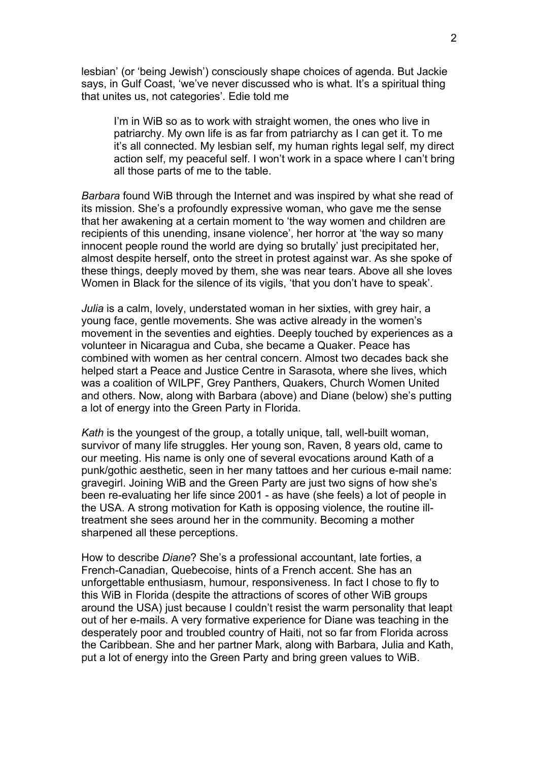lesbian' (or 'being Jewish') consciously shape choices of agenda. But Jackie says, in Gulf Coast, 'we've never discussed who is what. It's a spiritual thing that unites us, not categories'. Edie told me

I'm in WiB so as to work with straight women, the ones who live in patriarchy. My own life is as far from patriarchy as I can get it. To me it's all connected. My lesbian self, my human rights legal self, my direct action self, my peaceful self. I won't work in a space where I can't bring all those parts of me to the table.

*Barbara* found WiB through the Internet and was inspired by what she read of its mission. She's a profoundly expressive woman, who gave me the sense that her awakening at a certain moment to 'the way women and children are recipients of this unending, insane violence', her horror at 'the way so many innocent people round the world are dying so brutally' just precipitated her, almost despite herself, onto the street in protest against war. As she spoke of these things, deeply moved by them, she was near tears. Above all she loves Women in Black for the silence of its vigils, 'that you don't have to speak'.

*Julia* is a calm, lovely, understated woman in her sixties, with grey hair, a young face, gentle movements. She was active already in the women's movement in the seventies and eighties. Deeply touched by experiences as a volunteer in Nicaragua and Cuba, she became a Quaker. Peace has combined with women as her central concern. Almost two decades back she helped start a Peace and Justice Centre in Sarasota, where she lives, which was a coalition of WILPF, Grey Panthers, Quakers, Church Women United and others. Now, along with Barbara (above) and Diane (below) she's putting a lot of energy into the Green Party in Florida.

*Kath* is the youngest of the group, a totally unique, tall, well-built woman, survivor of many life struggles. Her young son, Raven, 8 years old, came to our meeting. His name is only one of several evocations around Kath of a punk/gothic aesthetic, seen in her many tattoes and her curious e-mail name: gravegirl. Joining WiB and the Green Party are just two signs of how she's been re-evaluating her life since 2001 - as have (she feels) a lot of people in the USA. A strong motivation for Kath is opposing violence, the routine illtreatment she sees around her in the community. Becoming a mother sharpened all these perceptions.

How to describe *Diane*? She's a professional accountant, late forties, a French-Canadian, Quebecoise, hints of a French accent. She has an unforgettable enthusiasm, humour, responsiveness. In fact I chose to fly to this WiB in Florida (despite the attractions of scores of other WiB groups around the USA) just because I couldn't resist the warm personality that leapt out of her e-mails. A very formative experience for Diane was teaching in the desperately poor and troubled country of Haiti, not so far from Florida across the Caribbean. She and her partner Mark, along with Barbara, Julia and Kath, put a lot of energy into the Green Party and bring green values to WiB.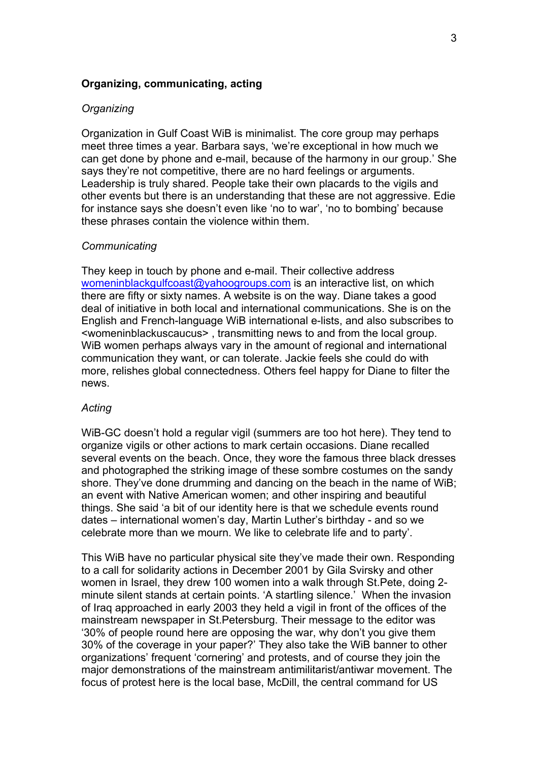### **Organizing, communicating, acting**

### *Organizing*

Organization in Gulf Coast WiB is minimalist. The core group may perhaps meet three times a year. Barbara says, 'we're exceptional in how much we can get done by phone and e-mail, because of the harmony in our group.' She says they're not competitive, there are no hard feelings or arguments. Leadership is truly shared. People take their own placards to the vigils and other events but there is an understanding that these are not aggressive. Edie for instance says she doesn't even like 'no to war', 'no to bombing' because these phrases contain the violence within them.

#### *Communicating*

They keep in touch by phone and e-mail. Their collective address [womeninblackgulfcoast@yahoogroups.com](mailto:womeninblackgulfcoast@yahoogroups.com) is an interactive list, on which there are fifty or sixty names. A website is on the way. Diane takes a good deal of initiative in both local and international communications. She is on the English and French-language WiB international e-lists, and also subscribes to <womeninblackuscaucus> , transmitting news to and from the local group. WiB women perhaps always vary in the amount of regional and international communication they want, or can tolerate. Jackie feels she could do with more, relishes global connectedness. Others feel happy for Diane to filter the news.

#### *Acting*

WiB-GC doesn't hold a regular vigil (summers are too hot here). They tend to organize vigils or other actions to mark certain occasions. Diane recalled several events on the beach. Once, they wore the famous three black dresses and photographed the striking image of these sombre costumes on the sandy shore. They've done drumming and dancing on the beach in the name of WiB; an event with Native American women; and other inspiring and beautiful things. She said 'a bit of our identity here is that we schedule events round dates – international women's day, Martin Luther's birthday - and so we celebrate more than we mourn. We like to celebrate life and to party'.

This WiB have no particular physical site they've made their own. Responding to a call for solidarity actions in December 2001 by Gila Svirsky and other women in Israel, they drew 100 women into a walk through St.Pete, doing 2 minute silent stands at certain points. 'A startling silence.' When the invasion of Iraq approached in early 2003 they held a vigil in front of the offices of the mainstream newspaper in St.Petersburg. Their message to the editor was '30% of people round here are opposing the war, why don't you give them 30% of the coverage in your paper?' They also take the WiB banner to other organizations' frequent 'cornering' and protests, and of course they join the major demonstrations of the mainstream antimilitarist/antiwar movement. The focus of protest here is the local base, McDill, the central command for US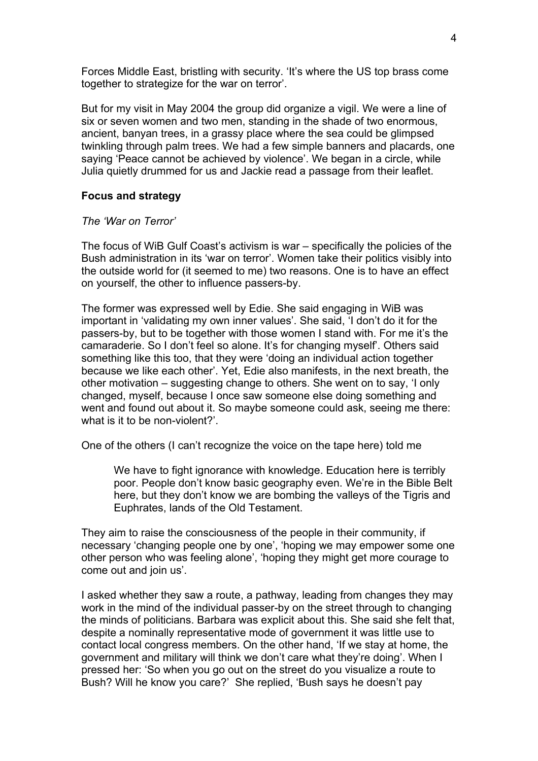Forces Middle East, bristling with security. 'It's where the US top brass come together to strategize for the war on terror'.

But for my visit in May 2004 the group did organize a vigil. We were a line of six or seven women and two men, standing in the shade of two enormous, ancient, banyan trees, in a grassy place where the sea could be glimpsed twinkling through palm trees. We had a few simple banners and placards, one saying 'Peace cannot be achieved by violence'. We began in a circle, while Julia quietly drummed for us and Jackie read a passage from their leaflet.

# **Focus and strategy**

# *The 'War on Terror'*

The focus of WiB Gulf Coast's activism is war – specifically the policies of the Bush administration in its 'war on terror'. Women take their politics visibly into the outside world for (it seemed to me) two reasons. One is to have an effect on yourself, the other to influence passers-by.

The former was expressed well by Edie. She said engaging in WiB was important in 'validating my own inner values'. She said, 'I don't do it for the passers-by, but to be together with those women I stand with. For me it's the camaraderie. So I don't feel so alone. It's for changing myself'. Others said something like this too, that they were 'doing an individual action together because we like each other'. Yet, Edie also manifests, in the next breath, the other motivation – suggesting change to others. She went on to say, 'I only changed, myself, because I once saw someone else doing something and went and found out about it. So maybe someone could ask, seeing me there: what is it to be non-violent?'.

One of the others (I can't recognize the voice on the tape here) told me

We have to fight ignorance with knowledge. Education here is terribly poor. People don't know basic geography even. We're in the Bible Belt here, but they don't know we are bombing the valleys of the Tigris and Euphrates, lands of the Old Testament.

They aim to raise the consciousness of the people in their community, if necessary 'changing people one by one', 'hoping we may empower some one other person who was feeling alone', 'hoping they might get more courage to come out and join us'.

I asked whether they saw a route, a pathway, leading from changes they may work in the mind of the individual passer-by on the street through to changing the minds of politicians. Barbara was explicit about this. She said she felt that, despite a nominally representative mode of government it was little use to contact local congress members. On the other hand, 'If we stay at home, the government and military will think we don't care what they're doing'. When I pressed her: 'So when you go out on the street do you visualize a route to Bush? Will he know you care?' She replied, 'Bush says he doesn't pay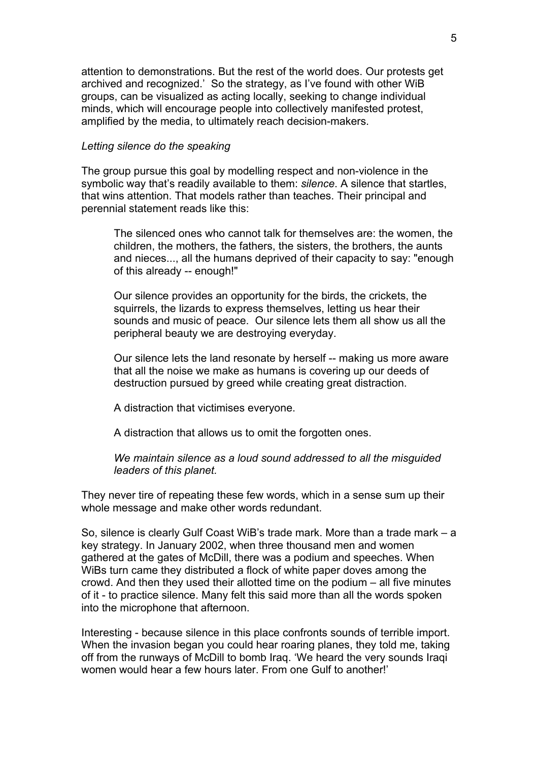attention to demonstrations. But the rest of the world does. Our protests get archived and recognized.' So the strategy, as I've found with other WiB groups, can be visualized as acting locally, seeking to change individual minds, which will encourage people into collectively manifested protest, amplified by the media, to ultimately reach decision-makers.

#### *Letting silence do the speaking*

The group pursue this goal by modelling respect and non-violence in the symbolic way that's readily available to them: *silence*. A silence that startles, that wins attention. That models rather than teaches. Their principal and perennial statement reads like this:

The silenced ones who cannot talk for themselves are: the women, the children, the mothers, the fathers, the sisters, the brothers, the aunts and nieces..., all the humans deprived of their capacity to say: "enough of this already -- enough!"

Our silence provides an opportunity for the birds, the crickets, the squirrels, the lizards to express themselves, letting us hear their sounds and music of peace. Our silence lets them all show us all the peripheral beauty we are destroying everyday.

Our silence lets the land resonate by herself -- making us more aware that all the noise we make as humans is covering up our deeds of destruction pursued by greed while creating great distraction.

A distraction that victimises everyone.

A distraction that allows us to omit the forgotten ones.

*We maintain silence as a loud sound addressed to all the misguided leaders of this planet.* 

They never tire of repeating these few words, which in a sense sum up their whole message and make other words redundant.

So, silence is clearly Gulf Coast WiB's trade mark. More than a trade mark – a key strategy. In January 2002, when three thousand men and women gathered at the gates of McDill, there was a podium and speeches. When WiBs turn came they distributed a flock of white paper doves among the crowd. And then they used their allotted time on the podium – all five minutes of it - to practice silence. Many felt this said more than all the words spoken into the microphone that afternoon.

Interesting - because silence in this place confronts sounds of terrible import. When the invasion began you could hear roaring planes, they told me, taking off from the runways of McDill to bomb Iraq. 'We heard the very sounds Iraqi women would hear a few hours later. From one Gulf to another!'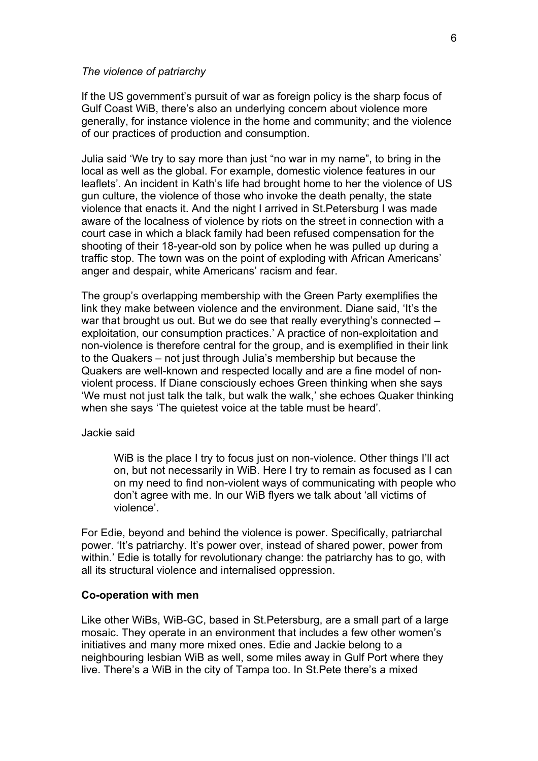#### *The violence of patriarchy*

If the US government's pursuit of war as foreign policy is the sharp focus of Gulf Coast WiB, there's also an underlying concern about violence more generally, for instance violence in the home and community; and the violence of our practices of production and consumption.

Julia said 'We try to say more than just "no war in my name", to bring in the local as well as the global. For example, domestic violence features in our leaflets'. An incident in Kath's life had brought home to her the violence of US gun culture, the violence of those who invoke the death penalty, the state violence that enacts it. And the night I arrived in St.Petersburg I was made aware of the localness of violence by riots on the street in connection with a court case in which a black family had been refused compensation for the shooting of their 18-year-old son by police when he was pulled up during a traffic stop. The town was on the point of exploding with African Americans' anger and despair, white Americans' racism and fear.

The group's overlapping membership with the Green Party exemplifies the link they make between violence and the environment. Diane said, 'It's the war that brought us out. But we do see that really everything's connected – exploitation, our consumption practices.' A practice of non-exploitation and non-violence is therefore central for the group, and is exemplified in their link to the Quakers – not just through Julia's membership but because the Quakers are well-known and respected locally and are a fine model of nonviolent process. If Diane consciously echoes Green thinking when she says 'We must not just talk the talk, but walk the walk,' she echoes Quaker thinking when she says 'The quietest voice at the table must be heard'.

#### Jackie said

WiB is the place I try to focus just on non-violence. Other things I'll act on, but not necessarily in WiB. Here I try to remain as focused as I can on my need to find non-violent ways of communicating with people who don't agree with me. In our WiB flyers we talk about 'all victims of violence'.

For Edie, beyond and behind the violence is power. Specifically, patriarchal power. 'It's patriarchy. It's power over, instead of shared power, power from within.' Edie is totally for revolutionary change: the patriarchy has to go, with all its structural violence and internalised oppression.

#### **Co-operation with men**

Like other WiBs, WiB-GC, based in St.Petersburg, are a small part of a large mosaic. They operate in an environment that includes a few other women's initiatives and many more mixed ones. Edie and Jackie belong to a neighbouring lesbian WiB as well, some miles away in Gulf Port where they live. There's a WiB in the city of Tampa too. In St.Pete there's a mixed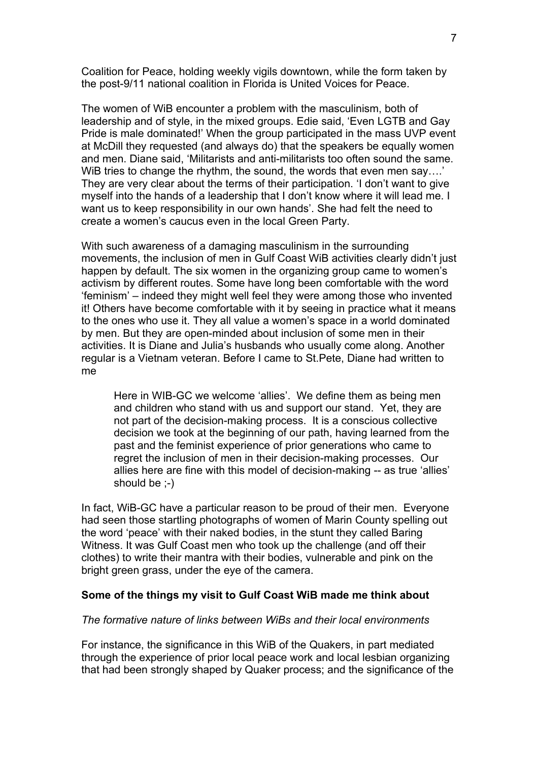Coalition for Peace, holding weekly vigils downtown, while the form taken by the post-9/11 national coalition in Florida is United Voices for Peace.

The women of WiB encounter a problem with the masculinism, both of leadership and of style, in the mixed groups. Edie said, 'Even LGTB and Gay Pride is male dominated!' When the group participated in the mass UVP event at McDill they requested (and always do) that the speakers be equally women and men. Diane said, 'Militarists and anti-militarists too often sound the same. WiB tries to change the rhythm, the sound, the words that even men say....' They are very clear about the terms of their participation. 'I don't want to give myself into the hands of a leadership that I don't know where it will lead me. I want us to keep responsibility in our own hands'. She had felt the need to create a women's caucus even in the local Green Party.

With such awareness of a damaging masculinism in the surrounding movements, the inclusion of men in Gulf Coast WiB activities clearly didn't just happen by default. The six women in the organizing group came to women's activism by different routes. Some have long been comfortable with the word 'feminism' – indeed they might well feel they were among those who invented it! Others have become comfortable with it by seeing in practice what it means to the ones who use it. They all value a women's space in a world dominated by men. But they are open-minded about inclusion of some men in their activities. It is Diane and Julia's husbands who usually come along. Another regular is a Vietnam veteran. Before I came to St.Pete, Diane had written to me

Here in WIB-GC we welcome 'allies'. We define them as being men and children who stand with us and support our stand. Yet, they are not part of the decision-making process. It is a conscious collective decision we took at the beginning of our path, having learned from the past and the feminist experience of prior generations who came to regret the inclusion of men in their decision-making processes. Our allies here are fine with this model of decision-making -- as true 'allies' should be ;-)

In fact, WiB-GC have a particular reason to be proud of their men. Everyone had seen those startling photographs of women of Marin County spelling out the word 'peace' with their naked bodies, in the stunt they called Baring Witness. It was Gulf Coast men who took up the challenge (and off their clothes) to write their mantra with their bodies, vulnerable and pink on the bright green grass, under the eye of the camera.

# **Some of the things my visit to Gulf Coast WiB made me think about**

### *The formative nature of links between WiBs and their local environments*

For instance, the significance in this WiB of the Quakers, in part mediated through the experience of prior local peace work and local lesbian organizing that had been strongly shaped by Quaker process; and the significance of the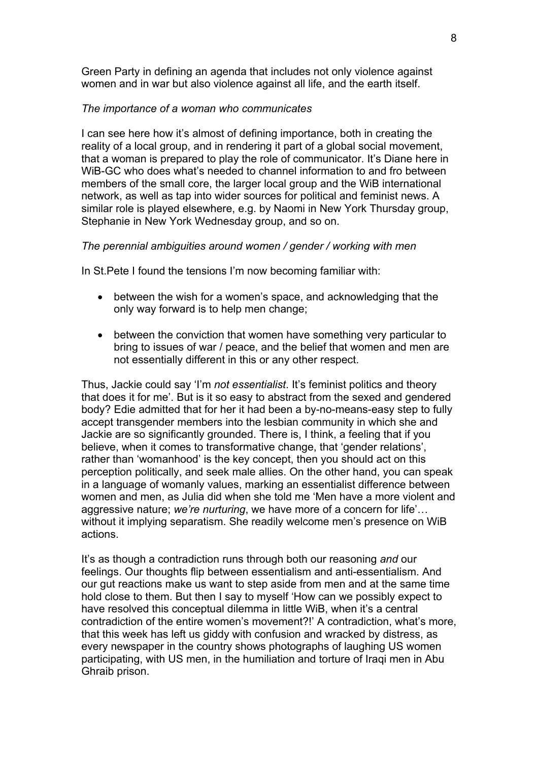Green Party in defining an agenda that includes not only violence against women and in war but also violence against all life, and the earth itself.

# *The importance of a woman who communicates*

I can see here how it's almost of defining importance, both in creating the reality of a local group, and in rendering it part of a global social movement, that a woman is prepared to play the role of communicator. It's Diane here in WiB-GC who does what's needed to channel information to and fro between members of the small core, the larger local group and the WiB international network, as well as tap into wider sources for political and feminist news. A similar role is played elsewhere, e.g. by Naomi in New York Thursday group, Stephanie in New York Wednesday group, and so on.

# *The perennial ambiguities around women / gender / working with men*

In St.Pete I found the tensions I'm now becoming familiar with:

- between the wish for a women's space, and acknowledging that the only way forward is to help men change;
- between the conviction that women have something very particular to bring to issues of war / peace, and the belief that women and men are not essentially different in this or any other respect.

Thus, Jackie could say 'I'm *not essentialist*. It's feminist politics and theory that does it for me'. But is it so easy to abstract from the sexed and gendered body? Edie admitted that for her it had been a by-no-means-easy step to fully accept transgender members into the lesbian community in which she and Jackie are so significantly grounded. There is, I think, a feeling that if you believe, when it comes to transformative change, that 'gender relations', rather than 'womanhood' is the key concept, then you should act on this perception politically, and seek male allies. On the other hand, you can speak in a language of womanly values, marking an essentialist difference between women and men, as Julia did when she told me 'Men have a more violent and aggressive nature; *we're nurturing*, we have more of a concern for life'… without it implying separatism. She readily welcome men's presence on WiB actions.

It's as though a contradiction runs through both our reasoning *and* our feelings. Our thoughts flip between essentialism and anti-essentialism. And our gut reactions make us want to step aside from men and at the same time hold close to them. But then I say to myself 'How can we possibly expect to have resolved this conceptual dilemma in little WiB, when it's a central contradiction of the entire women's movement?!' A contradiction, what's more, that this week has left us giddy with confusion and wracked by distress, as every newspaper in the country shows photographs of laughing US women participating, with US men, in the humiliation and torture of Iraqi men in Abu Ghraib prison.